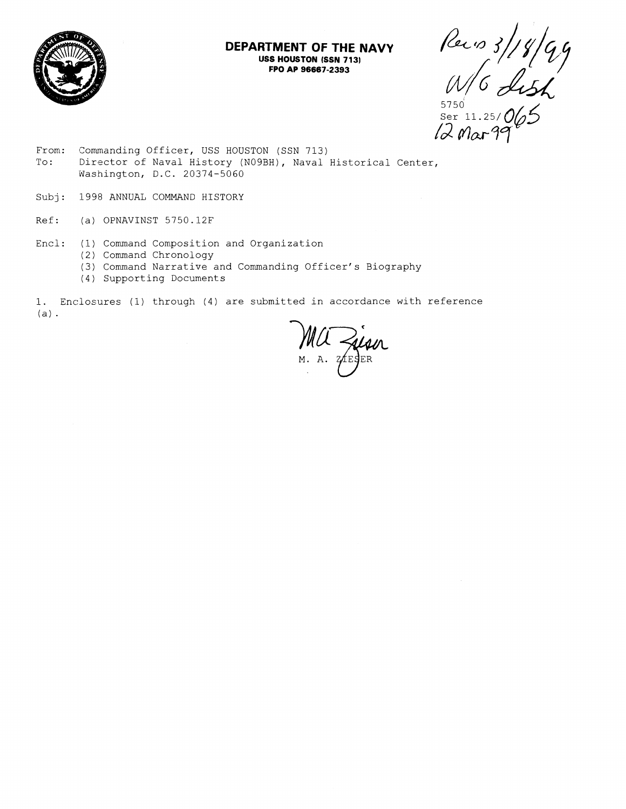

### **DEPARTMENT OF THE NAVY USS HOUSTON (SSN 713) FPO AP 96667-2393**

Per 10 3/18/99<br>W/G Lish<br>SOC 313.25/065

Ser 11

- From: Commanding Officer, USS HOUSTON (SSN 713) To: Director of Naval History (NO9BH), Naval Historical Center, Washington, D.C. 20374-5060
- Subj: 1998 ANNUAL COMMAND HISTORY
- Ref: (a) OPNAVINST 5750.12F
- Encl: (1) Comand Composition and Organization
	- (2) Command Chronology
	- (3) Comand Narrative and Commanding Officer's Biography
	- (4) Supporting Documents

1. Enclosures (1) through (4) are submitted in accordance with reference  $(a)$ .

Ma Zion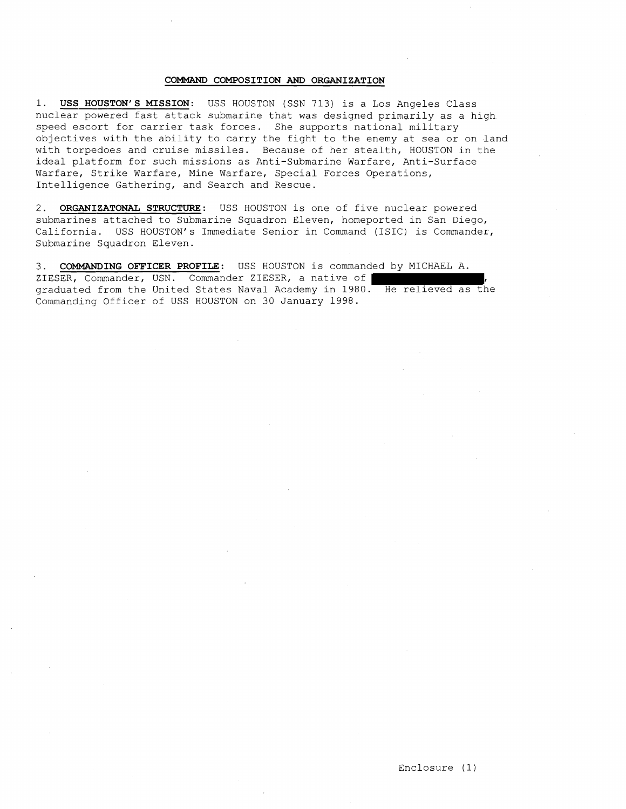#### COMMAND COMPOSITION **AND** ORGANIZATION

1. USS HOUSTON'S MISSION: USS HOUSTON (SSN 713) is a Los Angeles Class nuclear powered fast attack submarine that was designed primarily as a high speed escort for carrier task forces. She supports national military objectives with the ability to carry the fight to the enemy at sea or on land with torpedoes and cruise missiles. Because of her stealth, HOUSTON in the ideal platform for such missions as Anti-Submarine Warfare, Anti-Surface Warfare, Strike Warfare, Mine Warfare, Special Forces Operations, Intelligence Gathering, and Search and Rescue.

2. ORGANIZATONAL STRUCTURE: USS HOUSTON is one of five nuclear powered submarines attached to Submarine Squadron Eleven, homeported in San Diego, California. USS HOUSTON'S Immediate Senior in Command (ISIC) is Commander, Submarine Squadron Eleven.

3. COMMANDING OFFICER PROFILE: USS HOUSTON is commanded by MICHAEL A. ZIESER, Commander, USN. Commander ZIESER, a native of graduated from the United States Naval Academy in 1980. He relieved as the Commanding Officer of USS HOUSTON on 30 January 1998.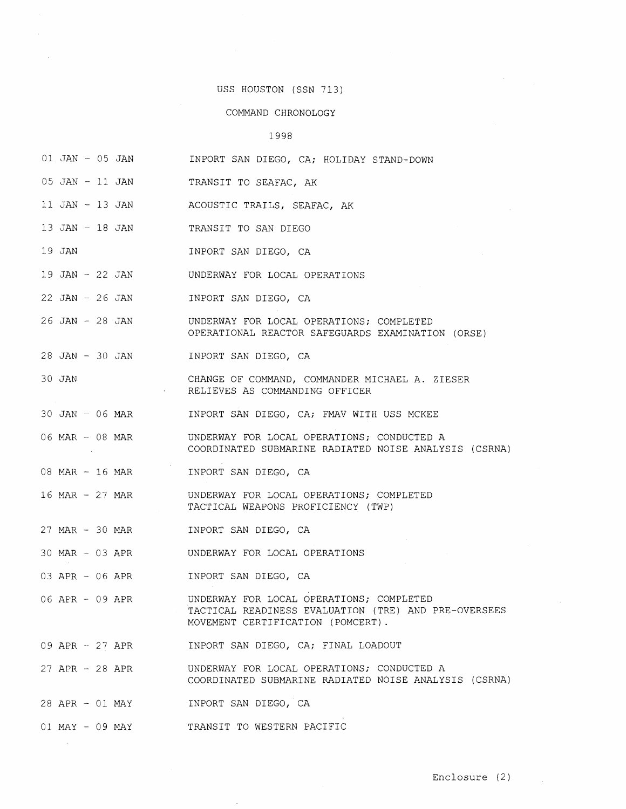# USS HOUSTON (SSN 713)

 $\sim$   $\sim$ 

 $\sim 10^6$ 

# COMMAND CHRONOLOGY

# 1998

| $01$ JAN $-$ 05 JAN               | INPORT SAN DIEGO, CA; HOLIDAY STAND-DOWN                                                                                                                 |
|-----------------------------------|----------------------------------------------------------------------------------------------------------------------------------------------------------|
| 05 JAN - 11 JAN                   | TRANSIT TO SEAFAC, AK                                                                                                                                    |
| 11 JAN - 13 JAN                   | ACOUSTIC TRAILS, SEAFAC, AK                                                                                                                              |
| 13 JAN - 18 JAN                   | TRANSIT TO SAN DIEGO                                                                                                                                     |
| 19 JAN                            | INPORT SAN DIEGO, CA                                                                                                                                     |
|                                   | 19 JAN - 22 JAN UNDERWAY FOR LOCAL OPERATIONS                                                                                                            |
| 22 JAN - 26 JAN                   | INPORT SAN DIEGO, CA                                                                                                                                     |
| 26 JAN - 28 JAN                   | UNDERWAY FOR LOCAL OPERATIONS; COMPLETED<br>OPERATIONAL REACTOR SAFEGUARDS EXAMINATION (ORSE)                                                            |
| 28 JAN - 30 JAN                   | INPORT SAN DIEGO, CA                                                                                                                                     |
| 30 JAN<br>$\mathcal{A}=\{1,2,3\}$ | CHANGE OF COMMAND, COMMANDER MICHAEL A. ZIESER<br>RELIEVES AS COMMANDING OFFICER                                                                         |
| $30$ JAN $-$ 06 MAR               | INPORT SAN DIEGO, CA; FMAV WITH USS MCKEE                                                                                                                |
| 06 MAR - 08 MAR                   | UNDERWAY FOR LOCAL OPERATIONS; CONDUCTED A<br>COORDINATED SUBMARINE RADIATED NOISE ANALYSIS (CSRNA)                                                      |
| 08 MAR $- 16$ MAR                 | INPORT SAN DIEGO, CA                                                                                                                                     |
| 16 MAR - 27 MAR                   | UNDERWAY FOR LOCAL OPERATIONS; COMPLETED<br>TACTICAL WEAPONS PROFICIENCY (TWP)                                                                           |
| 27 MAR - 30 MAR                   | INPORT SAN DIEGO, CA                                                                                                                                     |
|                                   |                                                                                                                                                          |
| 03 APR - 06 APR                   | INPORT SAN DIEGO, CA                                                                                                                                     |
|                                   | 06 APR - 09 APR    UNDERWAY FOR LOCAL OPERATIONS; COMPLETED<br>TACTICAL READINESS EVALUATION (TRE) AND PRE-OVERSEES<br>MOVEMENT CERTIFICATION (POMCERT). |
| 09 APR - 27 APR                   | INPORT SAN DIEGO, CA; FINAL LOADOUT                                                                                                                      |
| 27 APR - 28 APR                   | UNDERWAY FOR LOCAL OPERATIONS; CONDUCTED A<br>COORDINATED SUBMARINE RADIATED NOISE ANALYSIS (CSRNA)                                                      |
| 28 APR - 01 MAY                   | INPORT SAN DIEGO, CA                                                                                                                                     |
| 01 MAY - 09 MAY                   | TRANSIT TO WESTERN PACIFIC                                                                                                                               |

 $\mathcal{L}_{\text{max}}$  and  $\mathcal{L}_{\text{max}}$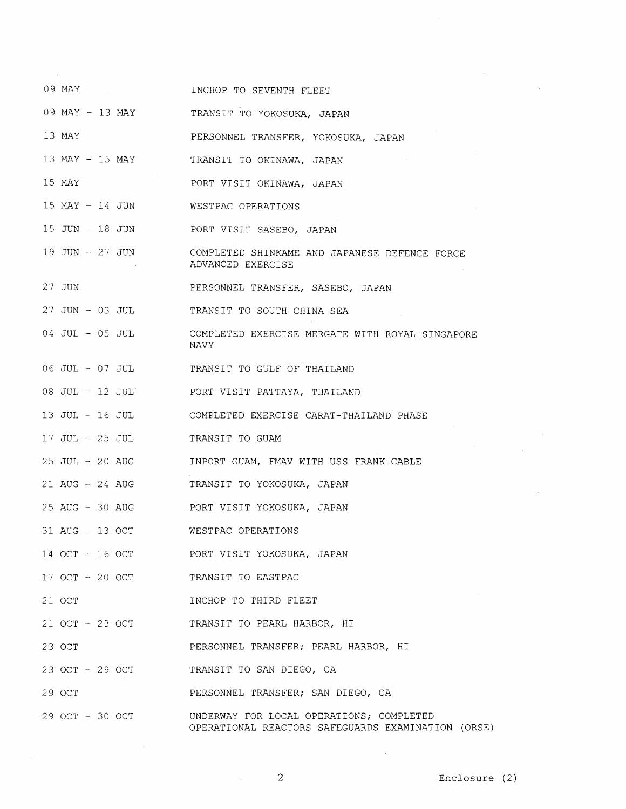| 09 MAY                             | INCHOP TO SEVENTH FLEET                                                                        |
|------------------------------------|------------------------------------------------------------------------------------------------|
|                                    | 09 MAY - 13 MAY TRANSIT TO YOKOSUKA, JAPAN                                                     |
| 13 MAY                             | PERSONNEL TRANSFER, YOKOSUKA, JAPAN                                                            |
| 13 MAY - 15 MAY                    | TRANSIT TO OKINAWA, JAPAN                                                                      |
| 15 MAY                             | PORT VISIT OKINAWA, JAPAN                                                                      |
| 15 MAY - 14 JUN WESTPAC OPERATIONS |                                                                                                |
|                                    | 15 JUN - 18 JUN PORT VISIT SASEBO, JAPAN                                                       |
|                                    | 19 JUN - 27 JUN COMPLETED SHINKAME AND JAPANESE DEFENCE FORCE<br>ADVANCED EXERCISE             |
| 27 JUN                             | PERSONNEL TRANSFER, SASEBO, JAPAN                                                              |
| 27 JUN - 03 JUL                    | TRANSIT TO SOUTH CHINA SEA                                                                     |
| 04 JUL - 05 JUL                    | COMPLETED EXERCISE MERGATE WITH ROYAL SINGAPORE<br>NAVY                                        |
|                                    | 06 JUL - 07 JUL TRANSIT TO GULF OF THAILAND                                                    |
|                                    | 08 JUL - 12 JUL PORT VISIT PATTAYA, THAILAND                                                   |
|                                    | 13 JUL - 16 JUL COMPLETED EXERCISE CARAT-THAILAND PHASE                                        |
| 17 JUL - 25 JUL                    | TRANSIT TO GUAM                                                                                |
| $25$ JUL $-$ 20 AUG                | INPORT GUAM, FMAV WITH USS FRANK CABLE                                                         |
| 21 AUG - 24 AUG                    | TRANSIT TO YOKOSUKA, JAPAN                                                                     |
|                                    | 25 AUG - 30 AUG PORT VISIT YOKOSUKA, JAPAN                                                     |
| 31 AUG - 13 OCT WESTPAC OPERATIONS |                                                                                                |
| 14 OCT - 16 OCT                    | PORT VISIT YOKOSUKA, JAPAN                                                                     |
| 17 OCT - 20 OCT                    | TRANSIT TO EASTPAC                                                                             |
| 21 OCT                             | INCHOP TO THIRD FLEET                                                                          |
| 21 OCT - 23 OCT                    | TRANSIT TO PEARL HARBOR, HI                                                                    |
| 23 OCT                             | PERSONNEL TRANSFER; PEARL HARBOR, HI                                                           |
| 23 OCT - 29 OCT                    | TRANSIT TO SAN DIEGO, CA                                                                       |
| 29 OCT                             | PERSONNEL TRANSFER; SAN DIEGO, CA                                                              |
| 29 OCT - 30 OCT                    | UNDERWAY FOR LOCAL OPERATIONS; COMPLETED<br>OPERATIONAL REACTORS SAFEGUARDS EXAMINATION (ORSE) |

2 Enclosure (2)

 $\sim 100$ 

 $\mathcal{L}_{\mathcal{L}}$ 

 $\ddot{\phantom{a}}$ 

 $\sim 10^{-11}$ 

 $\bar{\mathcal{A}}$ 

 $\mathcal{L}^{\mathcal{L}}$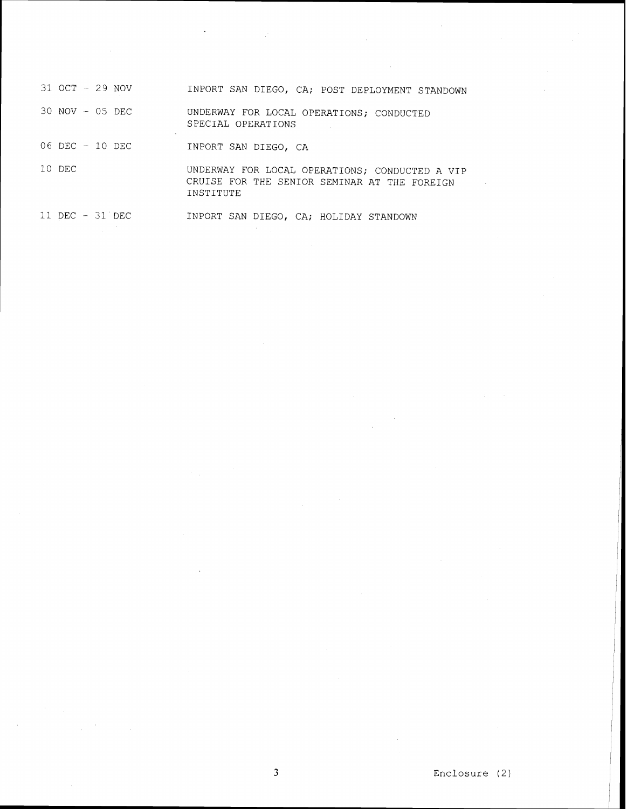| 31 OCT - 29 NOV    | INPORT SAN DIEGO, CA; POST DEPLOYMENT STANDOWN                                                              |
|--------------------|-------------------------------------------------------------------------------------------------------------|
| 30 NOV - 05 DEC    | UNDERWAY FOR LOCAL OPERATIONS; CONDUCTED<br>SPECIAL OPERATIONS                                              |
| $06$ DEC $-10$ DEC | INPORT SAN DIEGO, CA                                                                                        |
| 10 DEC             | UNDERWAY FOR LOCAL OPERATIONS; CONDUCTED A VIP<br>CRUISE FOR THE SENIOR SEMINAR AT THE FOREIGN<br>INSTITUTE |

 $\mathcal{A}$ 

11 DEC - 31'DEC INPORT SAN DIEGO, CA; HOLIDAY STANDOWN the control of the control of the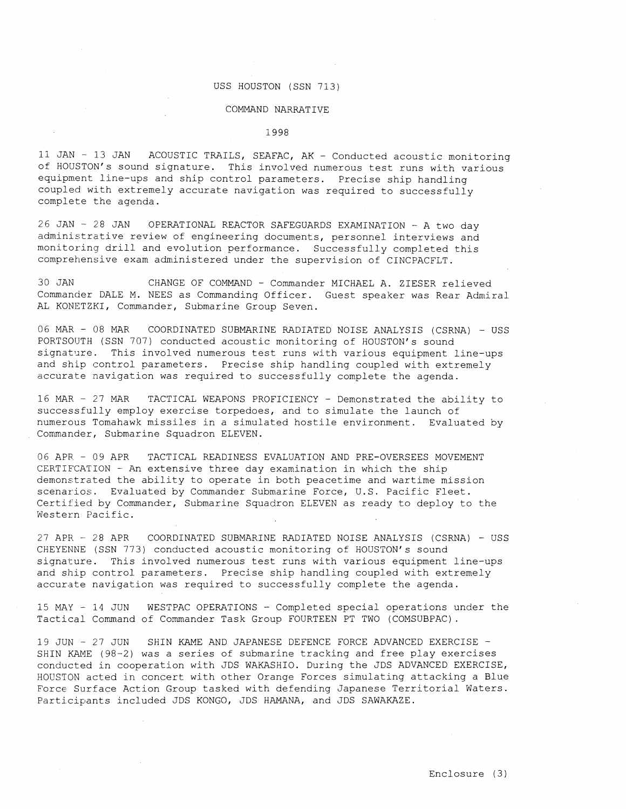#### USS HOUSTON (SSN 713)

#### COMMAND NARRATIVE

1998

11 JAN - 13 JAN ACOUSTIC TRAILS, SEAFAC, AK - Conducted acoustic monitoring of HOUSTON'S sound signature. This involved numerous test runs with various equipment line-ups and ship control parameters. Precise ship handling coupled with extremely accurate navigation was required to successfully complete the agenda.

26 JAN - 28 JAN OPERATIONAL REACTOR SAFEGUARDS EXAMINATION - A two day administrative review of engineering documents, personnel interviews and monitoring drill and evolution performance. Successfully completed this comprehensive exam administered under the supervision of CINCPACFLT.

30 JAN CHANGE OF COMMAND - Commander MICHAEL A. ZIESER relieved Commander DALE M. NEES as Commanding Officer. Guest speaker was Rear Admiral AL KONETZKI, Commander, Submarine Group Seven.

06 MAR - 08 MAR COORDINATED SUBMARINE RADIATED NOISE ANALYSIS (CSRNA) - USS PORTSOUTH (SSN 707) conducted acoustic monitoring of HOUSTON's sound signature. This involved numerous test runs with various equipment line-ups and ship control parameters. Precise ship handling coupled with extremely accurate navigation was required to successfully complete the agenda.

16 MAR - 27 MAR TACTICAL WEAPONS PROFICIENCY - Demonstrated the ability to successfully employ exercise torpedoes, and to simulate the launch of numerous Tomahawk missiles in a simulated hostile environment. Evaluated by Commander, Submarine Squadron ELEVEN.

06 APR - 09 APR TACTICAL READINESS EVALUATION AND PRE-OVERSEES MOVEMENT CERTIFCATION - An extensive three day examination in which the ship demonstrated the ability to operate in both peacetime and wartime mission scenarios. Evaluated by Commander Submarine Force, U.S. Pacific Fleet. Certified by Commander, Submarine Squadron ELEVEN as ready to deploy to the Western Pacific.

27 APR - 28 APR COORDINATED SUBMARINE RADIATED NOISE ANALYSIS (CSRNA) - USS CHEYENNE (SSN 773) conducted acoustic monitoring of HOUSTON'S sound signature. This involved numerous test runs with various equipment line-ups and ship control parameters. Precise ship handling coupled with extremely accunte navigation was required to successfully complete the agenda.

15 MAY - 14 JUN WESTPAC OPERATIONS - Completed special operations under the Tactical Command of Commander Task Group FOURTEEN PT TWO (COMSUBPAC).

19 JUN - 27 JUN SHIN KAME AND JAPANESE DEFENCE FORCE ADVANCED EXERCISE - SHIN KAME (98-2) was a series of submarine tracking and free play exercises conducted in cooperation with JDS WAKASHIO. During the JDS ADVANCED EXERCISE, HOUSTON acted in concert with other Orange Forces simulating attacking a Blue Force Surface Action Group tasked with defending Japanese Territorial Waters. Participants included JDS KONGO, JDS HAMANA, and JDS SAWAKAZE.